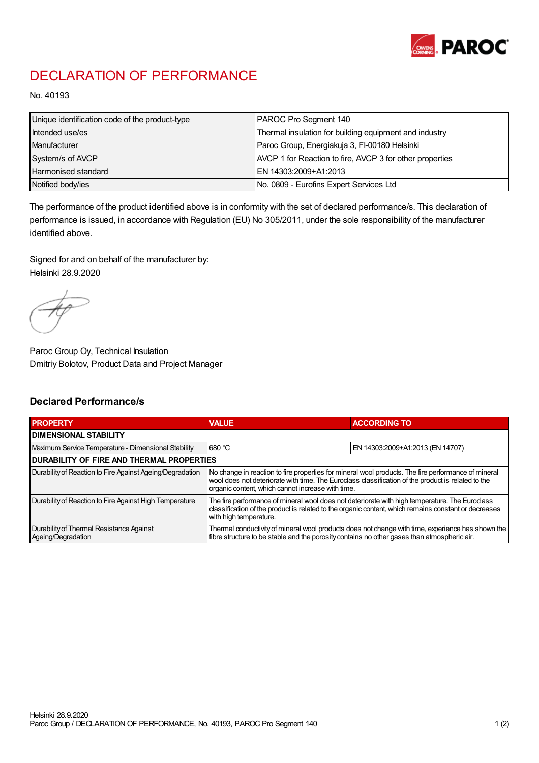

## DECLARATION OF PERFORMANCE

No. 40193

| Unique identification code of the product-type | PAROC Pro Segment 140                                    |
|------------------------------------------------|----------------------------------------------------------|
| Intended use/es                                | Thermal insulation for building equipment and industry   |
| Manufacturer                                   | Paroc Group, Energiakuja 3, FI-00180 Helsinki            |
| System/s of AVCP                               | AVCP 1 for Reaction to fire, AVCP 3 for other properties |
| Harmonised standard                            | IEN 14303:2009+A1:2013                                   |
| Notified body/ies                              | No. 0809 - Eurofins Expert Services Ltd                  |

The performance of the product identified above is in conformity with the set of declared performance/s. This declaration of performance is issued, in accordance with Regulation (EU) No 305/2011, under the sole responsibility of the manufacturer identified above.

Signed for and on behalf of the manufacturer by: Helsinki 28.9.2020

Paroc Group Oy, Technical Insulation Dmitriy Bolotov, Product Data and Project Manager

## Declared Performance/s

| <b>PROPERTY</b>                                                | <b>VALUE</b>                                                                                                                                                                                                                                                   | <b>ACCORDING TO</b>              |  |
|----------------------------------------------------------------|----------------------------------------------------------------------------------------------------------------------------------------------------------------------------------------------------------------------------------------------------------------|----------------------------------|--|
| <b>DIMENSIONAL STABILITY</b>                                   |                                                                                                                                                                                                                                                                |                                  |  |
| Maximum Service Temperature - Dimensional Stability            | 680 °C                                                                                                                                                                                                                                                         | EN 14303:2009+A1:2013 (EN 14707) |  |
| <b>DURABILITY OF FIRE AND THERMAL PROPERTIES</b>               |                                                                                                                                                                                                                                                                |                                  |  |
| Durability of Reaction to Fire Against Ageing/Degradation      | No change in reaction to fire properties for mineral wool products. The fire performance of mineral<br>wool does not deteriorate with time. The Euroclass classification of the product is related to the<br>organic content, which cannot increase with time. |                                  |  |
| Durability of Reaction to Fire Against High Temperature        | The fire performance of mineral wool does not deteriorate with high temperature. The Euroclass<br>classification of the product is related to the organic content, which remains constant or decreases<br>with high temperature.                               |                                  |  |
| Durability of Thermal Resistance Against<br>Ageing/Degradation | Thermal conductivity of mineral wool products does not change with time, experience has shown the<br>fibre structure to be stable and the porosity contains no other gases than atmospheric air.                                                               |                                  |  |